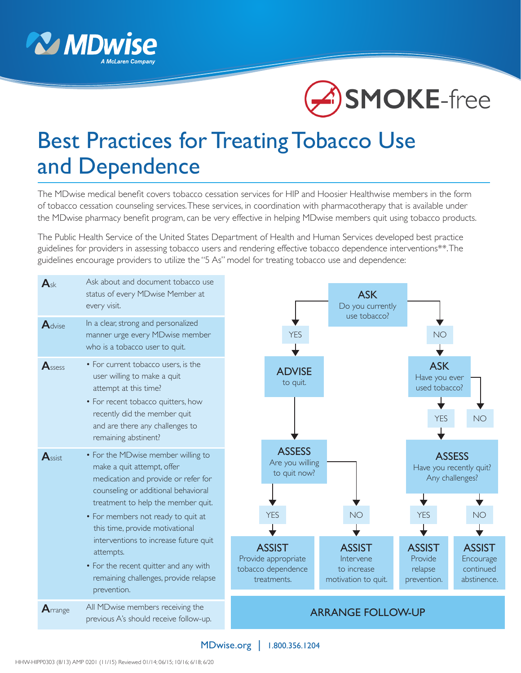



# Best Practices for Treating Tobacco Use and Dependence

The MDwise medical benefit covers tobacco cessation services for HIP and Hoosier Healthwise members in the form of tobacco cessation counseling services. These services, in coordination with pharmacotherapy that is available under the MDwise pharmacy benefit program, can be very effective in helping MDwise members quit using tobacco products.

The Public Health Service of the United States Department of Health and Human Services developed best practice guidelines for providers in assessing tobacco users and rendering effective tobacco dependence interventions\*\*. The guidelines encourage providers to utilize the "5 As" model for treating tobacco use and dependence:



#### MDwise.org | 1.800.356.1204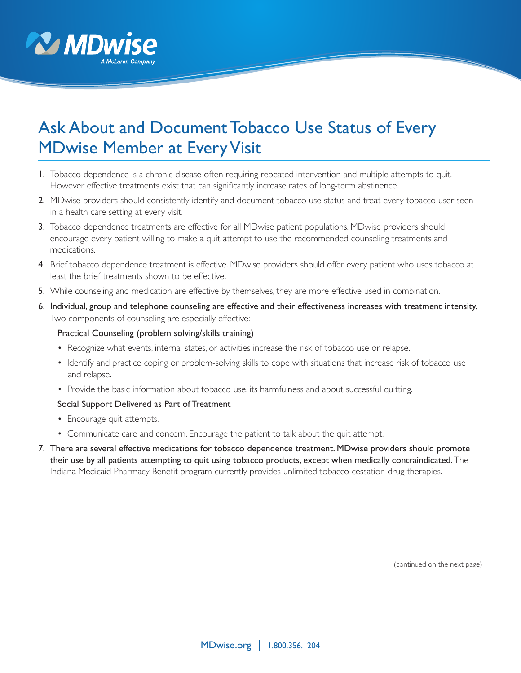

# Ask About and Document Tobacco Use Status of Every MDwise Member at Every Visit

- 1. Tobacco dependence is a chronic disease often requiring repeated intervention and multiple attempts to quit. However, effective treatments exist that can significantly increase rates of long-term abstinence.
- 2. MDwise providers should consistently identify and document tobacco use status and treat every tobacco user seen in a health care setting at every visit.
- 3. Tobacco dependence treatments are effective for all MDwise patient populations. MDwise providers should encourage every patient willing to make a quit attempt to use the recommended counseling treatments and medications.
- 4. Brief tobacco dependence treatment is effective. MDwise providers should offer every patient who uses tobacco at least the brief treatments shown to be effective.
- 5. While counseling and medication are effective by themselves, they are more effective used in combination.
- 6. Individual, group and telephone counseling are effective and their effectiveness increases with treatment intensity. Two components of counseling are especially effective:

#### Practical Counseling (problem solving/skills training)

- Recognize what events, internal states, or activities increase the risk of tobacco use or relapse.
- Identify and practice coping or problem-solving skills to cope with situations that increase risk of tobacco use and relapse.
- Provide the basic information about tobacco use, its harmfulness and about successful quitting.

#### Social Support Delivered as Part of Treatment

- Encourage quit attempts.
- Communicate care and concern. Encourage the patient to talk about the quit attempt.
- 7. There are several effective medications for tobacco dependence treatment. MDwise providers should promote their use by all patients attempting to quit using tobacco products, except when medically contraindicated. The Indiana Medicaid Pharmacy Benefit program currently provides unlimited tobacco cessation drug therapies.

(continued on the next page)